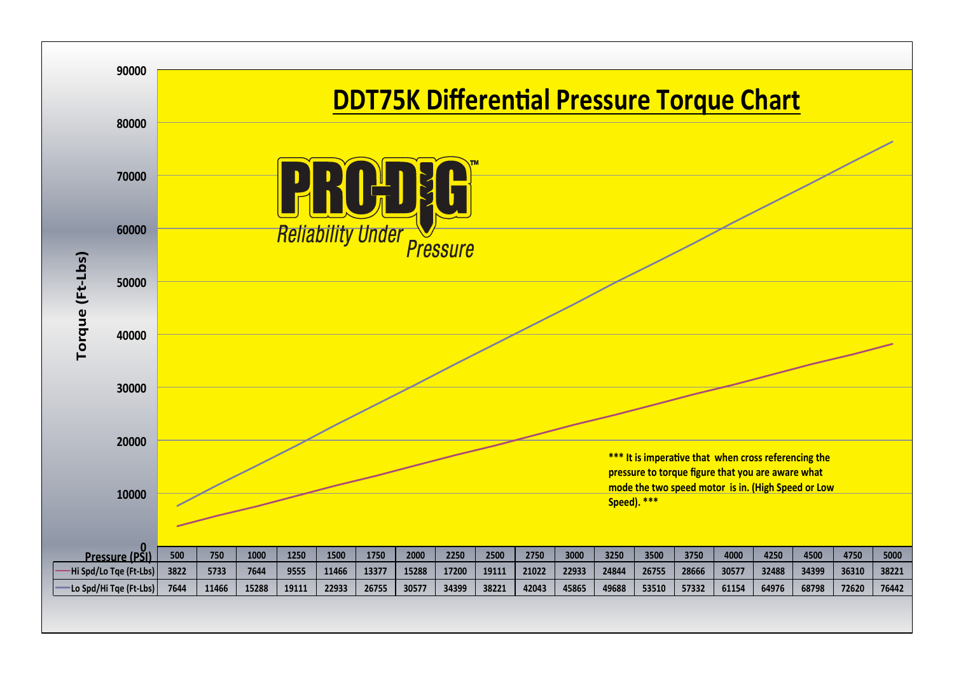